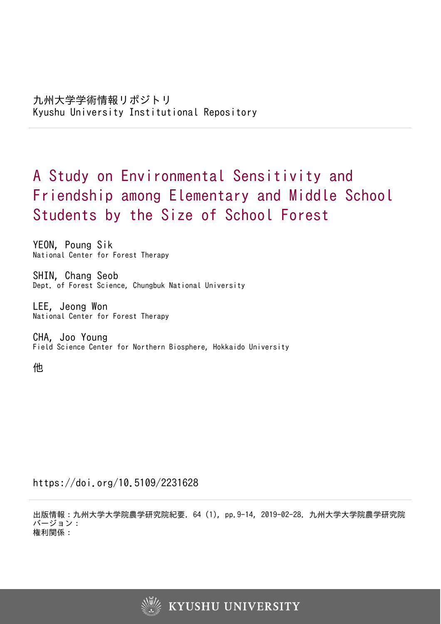# A Study on Environmental Sensitivity and Friendship among Elementary and Middle School Students by the Size of School Forest

YEON, Poung Sik National Center for Forest Therapy

SHIN, Chang Seob Dept. of Forest Science, Chungbuk National University

LEE, Jeong Won National Center for Forest Therapy

CHA, Joo Young Field Science Center for Northern Biosphere, Hokkaido University

他

https://doi.org/10.5109/2231628

出版情報:九州大学大学院農学研究院紀要. 64 (1), pp.9-14, 2019-02-28. 九州大学大学院農学研究院 バージョン: 権利関係:

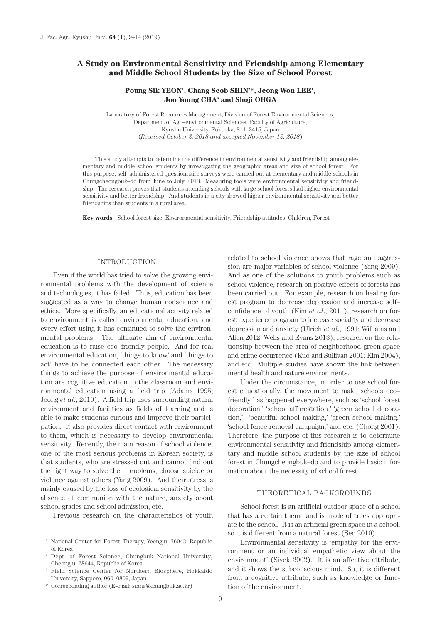# **A Study on Environmental Sensitivity and Friendship among Elementary and Middle School Students by the Size of School Forest**

### Poung Sik YEON<sup>1</sup>, Chang Seob SHIN<sup>2</sup>\*, Jeong Won LEE<sup>1</sup>, **Joo Young CHA3 and Shoji OHGA**

Laboratory of Forest Recources Management, Division of Forest Environmental Sciences, Department of Ago–environmental Sciences, Faculty of Agriculture, Kyushu University, Fukuoka, 811–2415, Japan (*Received October 2, 2018 and accepted November 12, 2018*)

This study attempts to determine the difference in environmental sensitivity and friendship among elementary and middle school students by investigating the geographic areas and size of school forest. For this purpose, self–administered questionnaire surveys were carried out at elementary and middle schools in Chungcheongbuk–do from June to July, 2013. Measuring tools were environmental sensitivity and friendship. The research proves that students attending schools with large school forests had higher environmental sensitivity and better friendship. And students in a city showed higher environmental sensitivity and better friendships than students in a rural area.

**Key words**: School forest size, Environmental sensitivity, Friendship attitudes, Children, Forest

#### INTRODUCTION

Even if the world has tried to solve the growing environmental problems with the development of science and technologies, it has failed. Thus, education has been suggested as a way to change human conscience and ethics. More specifically, an educational activity related to environment is called environmental education, and every effort using it has continued to solve the environmental problems. The ultimate aim of environmental education is to raise eco–friendly people. And for real environmental education, 'things to know' and 'things to act' have to be connected each other. The necessary things to achieve the purpose of environmental education are cognitive education in the classroom and environmental education using a field trip (Adams 1995; Jeong *et al*., 2010). A field trip uses surrounding natural environment and facilities as fields of learning and is able to make students curious and improve their participation. It also provides direct contact with environment to them, which is necessary to develop environmental sensitivity. Recently, the main reason of school violence, one of the most serious problems in Korean society, is that students, who are stressed out and cannot find out the right way to solve their problems, choose suicide or violence against others (Yang 2009). And their stress is mainly caused by the loss of ecological sensitivity by the absence of communion with the nature, anxiety about school grades and school admission, etc.

Previous research on the characteristics of youth

related to school violence shows that rage and aggression are major variables of school violence (Yang 2009). And as one of the solutions to youth problems such as school violence, research on positive effects of forests has been carried out. For example, research on healing forest program to decrease depression and increase self– confidence of youth (Kim *et al*., 2011), research on forest experience program to increase sociality and decrease depression and anxiety (Ulrich *et al*., 1991; Williams and Allen 2012; Wells and Evans 2013), research on the relationship between the area of neighborhood green space and crime occurrence (Kuo and Sullivan 2001; Kim 2004), and etc. Multiple studies have shown the link between mental health and nature environments.

Under the circumstance, in order to use school forest educationally, the movement to make schools eco– friendly has happened everywhere, such as 'school forest decoration,' 'school afforestation,' 'green school decoration,' 'beautiful school making,' 'green school making,' 'school fence removal campaign,' and etc. (Chong 2001). Therefore, the purpose of this research is to determine environmental sensitivity and friendship among elementary and middle school students by the size of school forest in Chungcheongbuk–do and to provide basic information about the necessity of school forest.

#### THEORETICAL BACKGROUNDS

School forest is an artificial outdoor space of a school that has a certain theme and is made of trees appropriate to the school. It is an artificial green space in a school, so it is different from a natural forest (Seo 2010).

Environmental sensitivity is 'empathy for the environment or an individual empathetic view about the environment' (Sivek 2002). It is an affective attribute, and it shows the subconscious mind. So, it is different from a cognitive attribute, such as knowledge or function of the environment.

<sup>1</sup> National Center for Forest Therapy, Yeongju, 36043, Republic of Korea

<sup>2</sup> Dept. of Forest Science, Chungbuk National University, Cheongju, 28644, Republic of Korea

<sup>3</sup> Field Science Center for Northern Biosphere, Hokkaido University, Sapporo, 060–0809, Japan

<sup>\*</sup> Corresponding author (E–mail: sinna@chungbuk.ac.kr)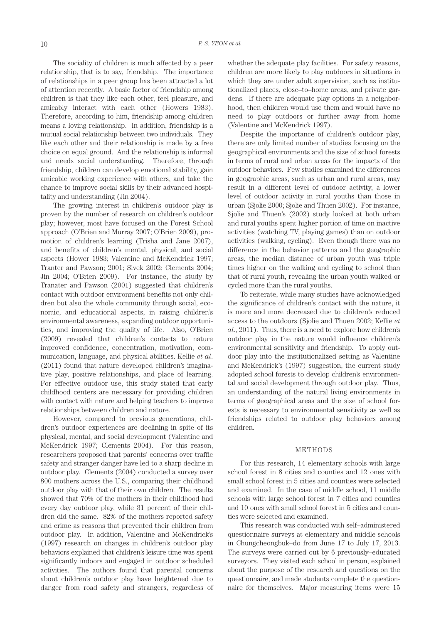The sociality of children is much affected by a peer relationship, that is to say, friendship. The importance of relationships in a peer group has been attracted a lot of attention recently. A basic factor of friendship among children is that they like each other, feel pleasure, and amicably interact with each other (Howers 1983). Therefore, according to him, friendship among children means a loving relationship. In addition, friendship is a mutual social relationship between two individuals. They like each other and their relationship is made by a free choice on equal ground. And the relationship is informal and needs social understanding. Therefore, through friendship, children can develop emotional stability, gain amicable working experience with others, and take the chance to improve social skills by their advanced hospitality and understanding (Jin 2004).

The growing interest in children's outdoor play is proven by the number of research on children's outdoor play; however, most have focused on the Forest School approach (O'Brien and Murray 2007; O'Brien 2009), promotion of children's learning (Trisha and Jane 2007), and benefits of children's mental, physical, and social aspects (Hower 1983; Valentine and McKendrick 1997; Tranter and Pawson; 2001; Sivek 2002; Clements 2004; Jin 2004; O'Brien 2009). For instance, the study by Tranater and Pawson (2001) suggested that children's contact with outdoor environment benefits not only children but also the whole community through social, economic, and educational aspects, in raising children's environmental awareness, expanding outdoor opportunities, and improving the quality of life. Also, O'Brien (2009) revealed that children's contacts to nature improved confidence, concentration, motivation, communication, language, and physical abilities. Kellie *et al*. (2011) found that nature developed children's imaginative play, positive relationships, and place of learning. For effective outdoor use, this study stated that early childhood centers are necessary for providing children with contact with nature and helping teachers to improve relationships between children and nature.

However, compared to previous generations, children's outdoor experiences are declining in spite of its physical, mental, and social development (Valentine and McKendrick 1997; Clements 2004). For this reason, researchers proposed that parents' concerns over traffic safety and stranger danger have led to a sharp decline in outdoor play. Clements (2004) conducted a survey over 800 mothers across the U.S., comparing their childhood outdoor play with that of their own children. The results showed that 70% of the mothers in their childhood had every day outdoor play, while 31 percent of their children did the same. 82% of the mothers reported safety and crime as reasons that prevented their children from outdoor play. In addition, Valentine and McKendrick's (1997) research on changes in children's outdoor play behaviors explained that children's leisure time was spent significantly indoors and engaged in outdoor scheduled activities. The authors found that parental concerns about children's outdoor play have heightened due to danger from road safety and strangers, regardless of whether the adequate play facilities. For safety reasons, children are more likely to play outdoors in situations in which they are under adult supervision, such as institutionalized places, close–to–home areas, and private gardens. If there are adequate play options in a neighborhood, then children would use them and would have no need to play outdoors or further away from home (Valentine and McKendrick 1997).

Despite the importance of children's outdoor play, there are only limited number of studies focusing on the geographical environments and the size of school forests in terms of rural and urban areas for the impacts of the outdoor behaviors. Few studies examined the differences in geographic areas, such as urban and rural areas, may result in a different level of outdoor activity, a lower level of outdoor activity in rural youths than those in urban (Sjolie 2000; Sjolie and Thuen 2002). For instance, Sjolie and Thuen's (2002) study looked at both urban and rural youths spent higher portion of time on inactive activities (watching TV, playing games) than on outdoor activities (walking, cycling). Even though there was no difference in the behavior patterns and the geographic areas, the median distance of urban youth was triple times higher on the walking and cycling to school than that of rural youth, revealing the urban youth walked or cycled more than the rural youths.

To reiterate, while many studies have acknowledged the significance of children's contact with the nature, it is more and more decreased due to children's reduced access to the outdoors (Sjolie and Thuen 2002; Kellie *et al*., 2011). Thus, there is a need to explore how children's outdoor play in the nature would influence children's environmental sensitivity and friendship. To apply outdoor play into the institutionalized setting as Valentine and McKendrick's (1997) suggestion, the current study adopted school forests to develop children's environmental and social development through outdoor play. Thus, an understanding of the natural living environments in terms of geographical areas and the size of school forests is necessary to environmental sensitivity as well as friendships related to outdoor play behaviors among children.

#### METHODS

For this research, 14 elementary schools with large school forest in 8 cities and counties and 12 ones with small school forest in 5 cities and counties were selected and examined. In the case of middle school, 11 middle schools with large school forest in 7 cities and counties and 10 ones with small school forest in 5 cities and counties were selected and examined.

This research was conducted with self–administered questionnaire surveys at elementary and middle schools in Chungcheongbuk–do from June 17 to July 17, 2013. The surveys were carried out by 6 previously–educated surveyors. They visited each school in person, explained about the purpose of the research and questions on the questionnaire, and made students complete the questionnaire for themselves. Major measuring items were 15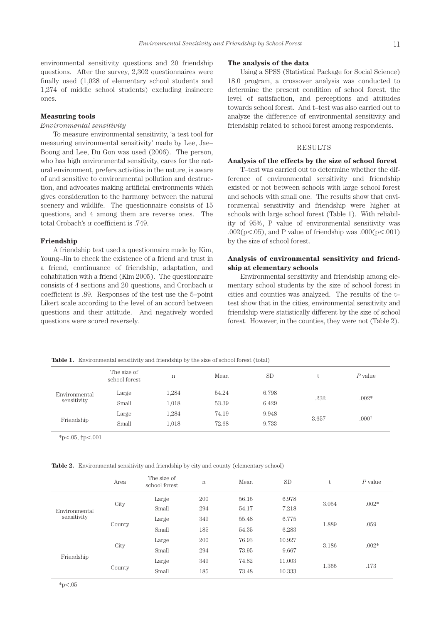environmental sensitivity questions and 20 friendship questions. After the survey, 2,302 questionnaires were finally used (1,028 of elementary school students and 1,274 of middle school students) excluding insincere ones.

#### **Measuring tools**

## *Environmental sensitivity*

To measure environmental sensitivity, 'a test tool for measuring environmental sensitivity' made by Lee, Jae– Boong and Lee, Du Gon was used (2006). The person, who has high environmental sensitivity, cares for the natural environment, prefers activities in the nature, is aware of and sensitive to environmental pollution and destruction, and advocates making artificial environments which gives consideration to the harmony between the natural scenery and wildlife. The questionnaire consists of 15 questions, and 4 among them are reverse ones. The total Crobach's α coefficient is .749.

#### **Friendship**

A friendship test used a questionnaire made by Kim, Young–Jin to check the existence of a friend and trust in a friend, continuance of friendship, adaptation, and cohabitation with a friend (Kim 2005). The questionnaire consists of 4 sections and 20 questions, and Cronbach  $\alpha$ coefficient is .89. Responses of the test use the 5–point Likert scale according to the level of an accord between questions and their attitude. And negatively worded questions were scored reversely.

#### **The analysis of the data**

Using a SPSS (Statistical Package for Social Science) 18.0 program, a crossover analysis was conducted to determine the present condition of school forest, the level of satisfaction, and perceptions and attitudes towards school forest. And t–test was also carried out to analyze the difference of environmental sensitivity and friendship related to school forest among respondents.

#### RESULTS

#### **Analysis of the effects by the size of school forest**

T–test was carried out to determine whether the difference of environmental sensitivity and friendship existed or not between schools with large school forest and schools with small one. The results show that environmental sensitivity and friendship were higher at schools with large school forest (Table 1). With reliability of 95%, P value of environmental sensitivity was .002( $p < .05$ ), and P value of friendship was .000( $p < .001$ ) by the size of school forest.

#### **Analysis of environmental sensitivity and friendship at elementary schools**

Environmental sensitivity and friendship among elementary school students by the size of school forest in cities and counties was analyzed. The results of the t– test show that in the cities, environmental sensitivity and friendship were statistically different by the size of school forest. However, in the counties, they were not (Table 2).

Table 1. Environmental sensitivity and friendship by the size of school forest (total)

|                              | The size of<br>school forest | n     | Mean  | <b>SD</b> |       | $P$ value        |
|------------------------------|------------------------------|-------|-------|-----------|-------|------------------|
| Environmental<br>sensitivity | Large                        | 1,284 | 54.24 | 6.798     | .232  | $.002*$          |
|                              | Small                        | 1.018 | 53.39 | 6.429     |       |                  |
| Friendship                   | Large                        | 1,284 | 74.19 | 9.948     | 3.657 | $.000^{\dagger}$ |
|                              | Small                        | 1,018 | 72.68 | 9.733     |       |                  |

\*p<.05, †p<.001

Table 2. Environmental sensitivity and friendship by city and county (elementary school)

| Area   | The size of<br>school forest | n   | Mean  | SD     | U.    | $P$ value |
|--------|------------------------------|-----|-------|--------|-------|-----------|
| City   | Large                        | 200 | 56.16 | 6.978  | 3.054 | $.002*$   |
|        | Small                        | 294 | 54.17 | 7.218  |       |           |
| County | Large                        | 349 | 55.48 | 6.775  | 1.889 | .059      |
|        | Small                        | 185 | 54.35 | 6.283  |       |           |
| City   | Large                        | 200 | 76.93 | 10.927 | 3.186 | $.002*$   |
|        | Small                        | 294 | 73.95 | 9.667  |       |           |
| County | Large                        | 349 | 74.82 | 11.003 | 1.366 | .173      |
|        | Small                        | 185 | 73.48 | 10.333 |       |           |
|        |                              |     |       |        |       |           |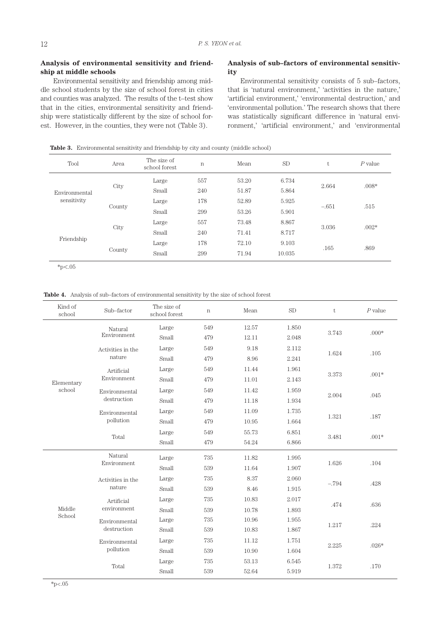# **Analysis of environmental sensitivity and friendship at middle schools**

Environmental sensitivity and friendship among middle school students by the size of school forest in cities and counties was analyzed. The results of the t–test show that in the cities, environmental sensitivity and friendship were statistically different by the size of school forest. However, in the counties, they were not (Table 3).

# **Analysis of sub–factors of environmental sensitivity**

Environmental sensitivity consists of 5 sub–factors, that is 'natural environment,' 'activities in the nature,' 'artificial environment,' 'environmental destruction,' and 'environmental pollution.' The research shows that there was statistically significant difference in 'natural environment,' 'artificial environment,' and 'environmental

**Table 3.** Environmental sensitivity and friendship by city and county (middle school)

| Tool                         | Area   | The size of<br>school forest | $\mathbf n$ | Mean  | SD     | t       | $P$ value |
|------------------------------|--------|------------------------------|-------------|-------|--------|---------|-----------|
| Environmental<br>sensitivity |        | Large                        | 557         | 53.20 | 6.734  | 2.664   | $.008*$   |
|                              | City   | Small                        | 240         | 51.87 | 5.864  |         |           |
|                              | County | Large                        | 178         | 52.89 | 5.925  | $-.651$ | .515      |
|                              |        | Small                        | 299         | 53.26 | 5.901  |         |           |
| Friendship                   |        | Large                        | 557         | 73.48 | 8.867  | 3.036   | $.002*$   |
|                              | City   | Small                        | 240         | 71.41 | 8.717  |         |           |
|                              | County | Large                        | 178         | 72.10 | 9.103  | .165    |           |
|                              |        | Small                        | 299         | 71.94 | 10.035 |         | .869      |

 $*_{p<.05}$ 

**Table 4.** Analysis of sub–factors of environmental sensitivity by the size of school forest

| Kind of<br>school | Sub-factor                  | The size of<br>school forest | $\mathbf n$ | Mean  | <b>SD</b> | t       | $P$ value |
|-------------------|-----------------------------|------------------------------|-------------|-------|-----------|---------|-----------|
|                   | Natural                     | Large                        | 549         | 12.57 | 1.850     | 3.743   | $.000*$   |
|                   | Environment                 | Small                        | 479         | 12.11 | 2.048     |         |           |
|                   | Activities in the<br>nature | Large                        | 549         | 9.18  | 2.112     | 1.624   | .105      |
|                   |                             | Small                        | 479         | 8.96  | 2.241     |         |           |
|                   | Artificial                  | Large                        | 549         | 11.44 | 1.961     |         | $.001*$   |
| Elementary        | Environment                 | Small                        | 479         | 11.01 | 2.143     | 3.373   |           |
| school            | Environmental               | Large                        | 549         | 11.42 | 1.959     | 2.004   | .045      |
|                   | destruction                 | Small                        | 479         | 11.18 | 1.934     |         |           |
|                   | Environmental<br>pollution  | Large                        | 549         | 11.09 | 1.735     | 1.321   | .187      |
|                   |                             | Small                        | 479         | 10.95 | 1.664     |         |           |
|                   | Total                       | Large                        | 549         | 55.73 | 6.851     | 3.481   | $.001*$   |
|                   |                             | Small                        | 479         | 54.24 | 6.866     |         |           |
|                   | Natural<br>Environment      | Large                        | 735         | 11.82 | 1.995     | 1.626   | .104      |
|                   |                             | Small                        | 539         | 11.64 | 1.907     |         |           |
|                   | Activities in the           | Large                        | 735         | 8.37  | 2.060     | $-.794$ | .428      |
|                   | nature                      | Small                        | 539         | 8.46  | 1.915     |         |           |
|                   | Artificial<br>environment   | Large                        | 735         | 10.83 | 2.017     | .474    | .636      |
| Middle            |                             | Small                        | 539         | 10.78 | 1.893     |         |           |
| School            | Environmental               | Large                        | 735         | 10.96 | 1.955     | 1.217   | .224      |
|                   | destruction                 | Small                        | 539         | 10.83 | $1.867\,$ |         |           |
|                   | Environmental               | Large                        | 735         | 11.12 | 1.751     | 2.225   | $.026*$   |
|                   | pollution                   | Small                        | 539         | 10.90 | 1.604     |         |           |
|                   | Total                       | Large                        | 735         | 53.13 | 6.545     | 1.372   | .170      |
|                   |                             | Small                        | 539         | 52.64 | 5.919     |         |           |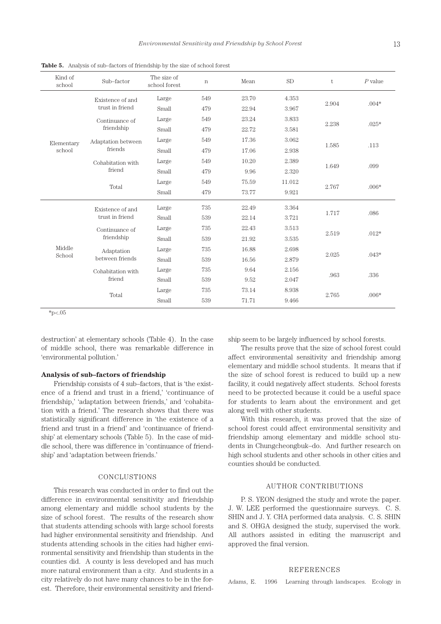| Kind of<br>school | Sub-factor                          | The size of<br>school forest | $\mathbf n$ | Mean  | <b>SD</b> | t     | $P$ value          |
|-------------------|-------------------------------------|------------------------------|-------------|-------|-----------|-------|--------------------|
|                   | Existence of and                    | Large                        | 549         | 23.70 | 4.353     | 2.904 | $.004*$            |
|                   | trust in friend                     | Small                        | 479         | 22.94 | 3.967     |       |                    |
|                   | Continuance of                      | Large                        | 549         | 23.24 | 3.833     | 2.238 | $.025*$            |
|                   | friendship                          | Small                        | 479         | 22.72 | 3.581     |       |                    |
| Elementary        | Adaptation between                  | Large                        | 549         | 17.36 | 3.062     |       | .113               |
| school            | friends                             | Small                        | 479         | 17.06 | 2.938     | 1.585 |                    |
|                   | Cohabitation with                   | Large                        | 549         | 10.20 | 2.389     | 1.649 | .099               |
|                   | friend                              | Small                        | 479         | 9.96  | 2.320     |       |                    |
|                   | Total                               | Large                        | 549         | 75.59 | 11.012    | 2.767 | $.006*$            |
|                   |                                     | Small                        | 479         | 73.77 | 9.921     |       |                    |
|                   | Existence of and<br>trust in friend | Large                        | 735         | 22.49 | 3.364     | 1.717 | .086               |
|                   |                                     | Small                        | 539         | 22.14 | 3.721     |       |                    |
|                   | Continuance of                      | Large                        | 735         | 22.43 | 3.513     |       | $.012*$            |
|                   | friendship                          | Small                        | 539         | 21.92 | 3.535     | 2.519 |                    |
| Middle<br>School  | Adaptation                          | Large                        | 735         | 16.88 | 2.698     | 2.025 |                    |
|                   | between friends                     | Small                        | 539         | 16.56 | 2.879     |       |                    |
|                   | Cohabitation with                   | Large                        | 735         | 9.64  | 2.156     | .963  | .336               |
|                   | friend                              | Small                        | 539         | 9.52  | 2.047     |       |                    |
|                   | Total                               | Large                        | 735         | 73.14 | 8.938     | 2.765 | $.043*$<br>$.006*$ |
|                   |                                     | Small                        | 539         | 71.71 | 9.466     |       |                    |

**Table 5.** Analysis of sub–factors of friendship by the size of school forest

 $*p<.05$ 

destruction' at elementary schools (Table 4). In the case of middle school, there was remarkable difference in 'environmental pollution.'

#### **Analysis of sub–factors of friendship**

Friendship consists of 4 sub–factors, that is 'the existence of a friend and trust in a friend,' 'continuance of friendship,' 'adaptation between friends,' and 'cohabitation with a friend.' The research shows that there was statistically significant difference in 'the existence of a friend and trust in a friend' and 'continuance of friendship' at elementary schools (Table 5). In the case of middle school, there was difference in 'continuance of friendship' and 'adaptation between friends.'

#### CONCLUSTIONS

This research was conducted in order to find out the difference in environmental sensitivity and friendship among elementary and middle school students by the size of school forest. The results of the research show that students attending schools with large school forests had higher environmental sensitivity and friendship. And students attending schools in the cities had higher environmental sensitivity and friendship than students in the counties did. A county is less developed and has much more natural environment than a city. And students in a city relatively do not have many chances to be in the forest. Therefore, their environmental sensitivity and friendship seem to be largely influenced by school forests.

The results prove that the size of school forest could affect environmental sensitivity and friendship among elementary and middle school students. It means that if the size of school forest is reduced to build up a new facility, it could negatively affect students. School forests need to be protected because it could be a useful space for students to learn about the environment and get along well with other students.

With this research, it was proved that the size of school forest could affect environmental sensitivity and friendship among elementary and middle school students in Chungcheongbuk–do. And further research on high school students and other schools in other cities and counties should be conducted.

#### AUTHOR CONTRIBUTIONS

P. S. YEON designed the study and wrote the paper. J. W. LEE performed the questionnaire surveys. C. S. SHIN and J. Y. CHA performed data analysis. C. S. SHIN and S. OHGA designed the study, supervised the work. All authors assisted in editing the manuscript and approved the final version.

#### REFERENCES

Adams, E. 1996 Learning through landscapes. Ecology in